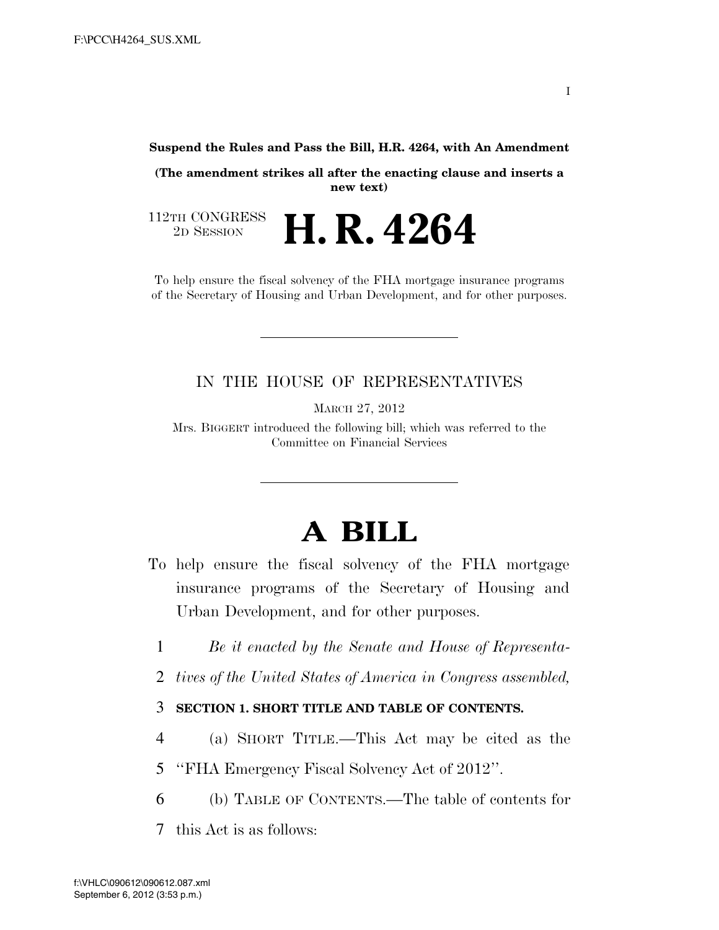#### **Suspend the Rules and Pass the Bill, H.R. 4264, with An Amendment**

**(The amendment strikes all after the enacting clause and inserts a new text)** 

112TH CONGRESS<br>2D SESSION 2D SESSION **H. R. 4264**

To help ensure the fiscal solvency of the FHA mortgage insurance programs of the Secretary of Housing and Urban Development, and for other purposes.

#### IN THE HOUSE OF REPRESENTATIVES

MARCH 27, 2012

Mrs. BIGGERT introduced the following bill; which was referred to the Committee on Financial Services

# **A BILL**

- To help ensure the fiscal solvency of the FHA mortgage insurance programs of the Secretary of Housing and Urban Development, and for other purposes.
	- 1 *Be it enacted by the Senate and House of Representa-*
	- 2 *tives of the United States of America in Congress assembled,*

#### 3 **SECTION 1. SHORT TITLE AND TABLE OF CONTENTS.**

- 4 (a) SHORT TITLE.—This Act may be cited as the
- 5 ''FHA Emergency Fiscal Solvency Act of 2012''.
- 6 (b) TABLE OF CONTENTS.—The table of contents for
- 7 this Act is as follows: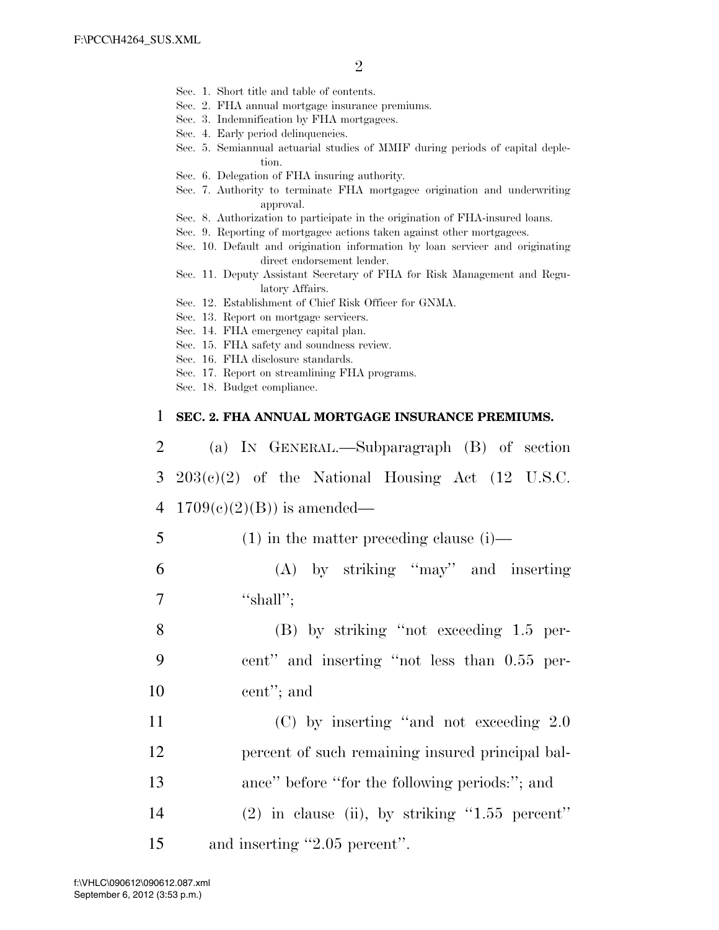- Sec. 1. Short title and table of contents.
- Sec. 2. FHA annual mortgage insurance premiums.
- Sec. 3. Indemnification by FHA mortgagees.
- Sec. 4. Early period delinquencies.
- Sec. 5. Semiannual actuarial studies of MMIF during periods of capital depletion.
- Sec. 6. Delegation of FHA insuring authority.
- Sec. 7. Authority to terminate FHA mortgagee origination and underwriting approval.
- Sec. 8. Authorization to participate in the origination of FHA-insured loans.
- Sec. 9. Reporting of mortgagee actions taken against other mortgagees.
- Sec. 10. Default and origination information by loan servicer and originating direct endorsement lender.
- Sec. 11. Deputy Assistant Secretary of FHA for Risk Management and Regulatory Affairs.
- Sec. 12. Establishment of Chief Risk Officer for GNMA.
- Sec. 13. Report on mortgage servicers.
- Sec. 14. FHA emergency capital plan.
- Sec. 15. FHA safety and soundness review.
- Sec. 16. FHA disclosure standards.
- Sec. 17. Report on streamlining FHA programs.
- Sec. 18. Budget compliance.

#### 1 **SEC. 2. FHA ANNUAL MORTGAGE INSURANCE PREMIUMS.**

| 2              | (a) IN GENERAL.—Subparagraph (B) of section        |
|----------------|----------------------------------------------------|
| 3 <sup>1</sup> | $203(c)(2)$ of the National Housing Act (12 U.S.C. |
| 4              | $1709(c)(2)(B)$ is amended—                        |
| 5              | $(1)$ in the matter preceding clause $(i)$ —       |
| 6              | $(A)$ by striking "may" and inserting              |
| 7              | "shall";                                           |
| 8              | $(B)$ by striking "not exceeding 1.5 per-          |
| 9              | cent" and inserting "not less than 0.55 per-       |
| 10             | cent"; and                                         |
| 11             | $(C)$ by inserting "and not exceeding 2.0          |
| 12             | percent of such remaining insured principal bal-   |
| 13             | ance" before "for the following periods:"; and     |
| 14             | $(2)$ in clause (ii), by striking "1.55 percent"   |
| 15             | and inserting "2.05 percent".                      |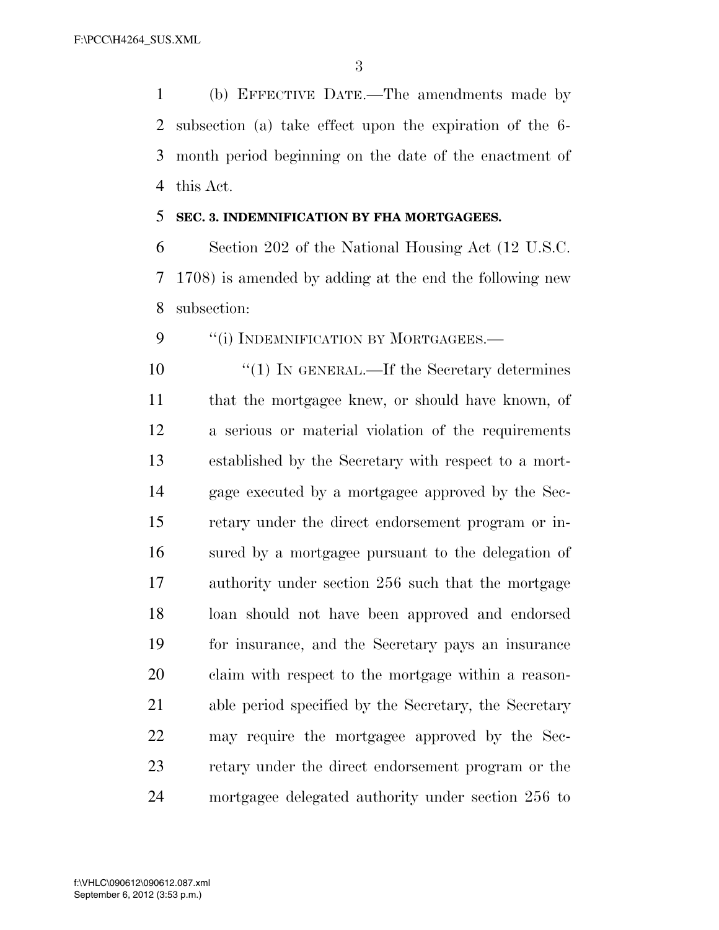(b) EFFECTIVE DATE.—The amendments made by subsection (a) take effect upon the expiration of the 6- month period beginning on the date of the enactment of this Act.

#### **SEC. 3. INDEMNIFICATION BY FHA MORTGAGEES.**

 Section 202 of the National Housing Act (12 U.S.C. 1708) is amended by adding at the end the following new subsection:

9 "(i) INDEMNIFICATION BY MORTGAGEES.—

10 <sup>"</sup>(1) IN GENERAL.—If the Secretary determines that the mortgagee knew, or should have known, of a serious or material violation of the requirements established by the Secretary with respect to a mort- gage executed by a mortgagee approved by the Sec- retary under the direct endorsement program or in- sured by a mortgagee pursuant to the delegation of authority under section 256 such that the mortgage loan should not have been approved and endorsed for insurance, and the Secretary pays an insurance claim with respect to the mortgage within a reason- able period specified by the Secretary, the Secretary may require the mortgagee approved by the Sec- retary under the direct endorsement program or the mortgagee delegated authority under section 256 to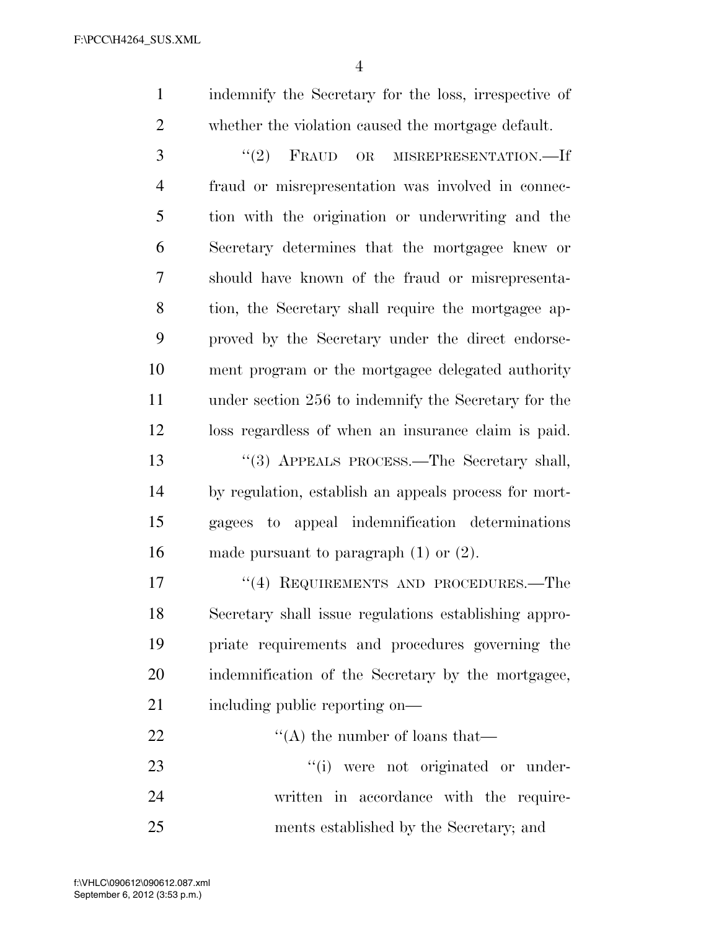indemnify the Secretary for the loss, irrespective of whether the violation caused the mortgage default.

3 "(2) FRAUD OR MISREPRESENTATION.—If fraud or misrepresentation was involved in connec- tion with the origination or underwriting and the Secretary determines that the mortgagee knew or should have known of the fraud or misrepresenta- tion, the Secretary shall require the mortgagee ap- proved by the Secretary under the direct endorse- ment program or the mortgagee delegated authority under section 256 to indemnify the Secretary for the loss regardless of when an insurance claim is paid. 13 ''(3) APPEALS PROCESS.—The Secretary shall, by regulation, establish an appeals process for mort- gagees to appeal indemnification determinations made pursuant to paragraph (1) or (2).

17 "(4) REQUIREMENTS AND PROCEDURES.—The Secretary shall issue regulations establishing appro- priate requirements and procedures governing the indemnification of the Secretary by the mortgagee, 21 including public reporting on—

 $\langle (A)$  the number of loans that—  $\frac{1}{1}$  were not originated or under- written in accordance with the require-ments established by the Secretary; and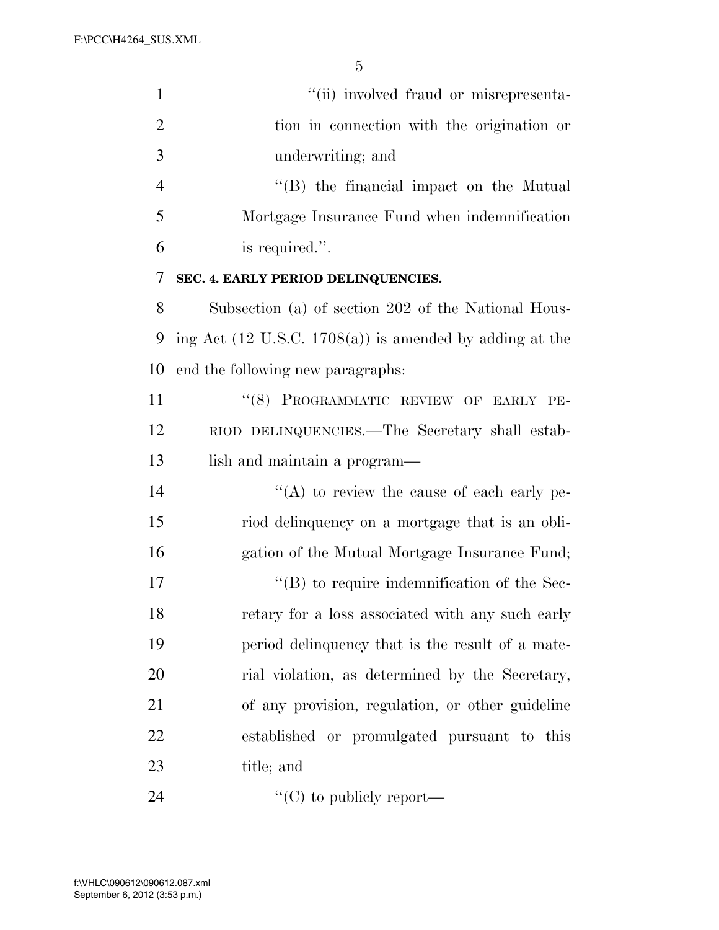| $\mathbf{1}$   | "(ii) involved fraud or misrepresenta-                             |
|----------------|--------------------------------------------------------------------|
| $\overline{2}$ | tion in connection with the origination or                         |
| 3              | underwriting; and                                                  |
| $\overline{4}$ | "(B) the financial impact on the Mutual                            |
| 5              | Mortgage Insurance Fund when indemnification                       |
| 6              | is required.".                                                     |
| 7              | SEC. 4. EARLY PERIOD DELINQUENCIES.                                |
| 8              | Subsection (a) of section 202 of the National Hous-                |
| 9              | ing Act $(12 \text{ U.S.C. } 1708(a))$ is amended by adding at the |
| 10             | end the following new paragraphs:                                  |
| 11             | "(8) PROGRAMMATIC REVIEW OF EARLY PE-                              |
| 12             | RIOD DELINQUENCIES.—The Secretary shall estab-                     |
| 13             | lish and maintain a program—                                       |
| 14             | $\lq\lq$ to review the cause of each early pe-                     |
| 15             | riod delinquency on a mortgage that is an obli-                    |
| 16             | gation of the Mutual Mortgage Insurance Fund;                      |
| 17             | $\lq\lq$ to require indemnification of the Sec-                    |
| 18             | retary for a loss associated with any such early                   |
| 19             | period delinquency that is the result of a mate-                   |
| 20             | rial violation, as determined by the Secretary,                    |
| 21             | of any provision, regulation, or other guideline                   |
| 22             | established or promulgated pursuant to this                        |
| 23             | title; and                                                         |
| 24             | "(C) to publicly report—                                           |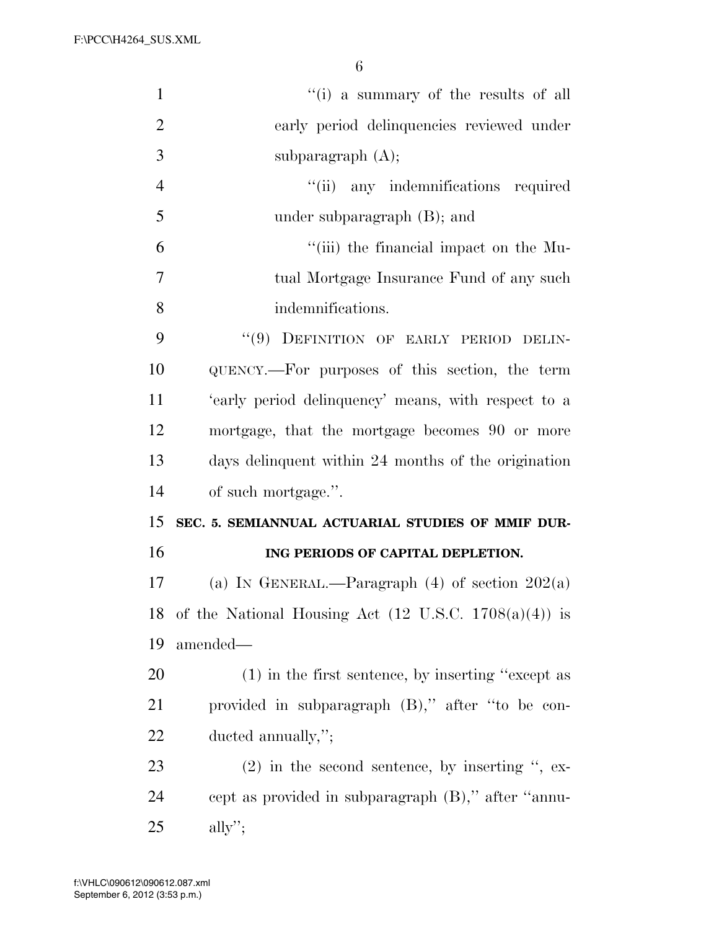| $\mathbf{1}$   | "(i) a summary of the results of all                             |
|----------------|------------------------------------------------------------------|
| $\overline{2}$ | early period delinquencies reviewed under                        |
| 3              | subparagraph $(A)$ ;                                             |
| $\overline{4}$ | "(ii) any indemnifications required                              |
| 5              | under subparagraph $(B)$ ; and                                   |
| 6              | "(iii) the financial impact on the Mu-                           |
| $\overline{7}$ | tual Mortgage Insurance Fund of any such                         |
| 8              | indemnifications.                                                |
| 9              | "(9) DEFINITION OF EARLY PERIOD DELIN-                           |
| 10             | QUENCY.—For purposes of this section, the term                   |
| 11             | 'early period delinquency' means, with respect to a              |
| 12             | mortgage, that the mortgage becomes 90 or more                   |
| 13             | days delinquent within 24 months of the origination              |
|                |                                                                  |
| 14             | of such mortgage.".                                              |
| 15             | SEC. 5. SEMIANNUAL ACTUARIAL STUDIES OF MMIF DUR-                |
| 16             | ING PERIODS OF CAPITAL DEPLETION.                                |
| 17             | (a) IN GENERAL.—Paragraph $(4)$ of section $202(a)$              |
| 18             | of the National Housing Act $(12 \text{ U.S.C. } 1708(a)(4))$ is |
| 19             | amended-                                                         |
| 20             | $(1)$ in the first sentence, by inserting "except as             |
| 21             | provided in subparagraph (B)," after "to be con-                 |
| 22             | ducted annually,";                                               |
| 23             | $(2)$ in the second sentence, by inserting ", ex-                |
| 24             | cept as provided in subparagraph (B)," after "annu-              |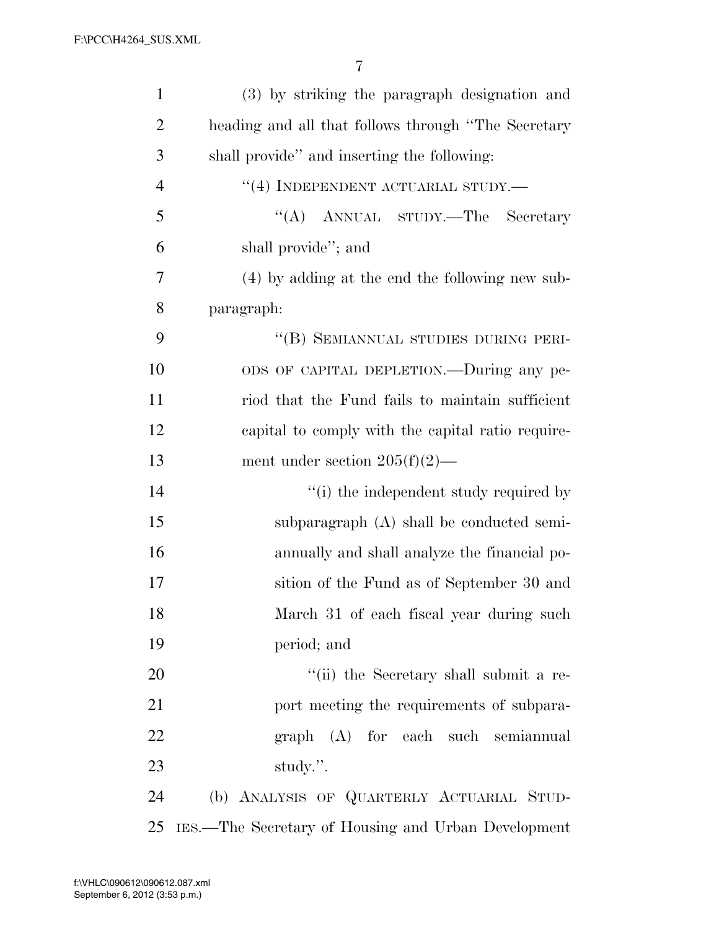| $\mathbf{1}$   | (3) by striking the paragraph designation and       |
|----------------|-----------------------------------------------------|
| $\overline{2}$ | heading and all that follows through "The Secretary |
| 3              | shall provide" and inserting the following:         |
| $\overline{4}$ | "(4) INDEPENDENT ACTUARIAL STUDY.—                  |
| 5              | "(A) ANNUAL STUDY.—The Secretary                    |
| 6              | shall provide"; and                                 |
| 7              | (4) by adding at the end the following new sub-     |
| 8              | paragraph:                                          |
| 9              | "(B) SEMIANNUAL STUDIES DURING PERI-                |
| 10             | ODS OF CAPITAL DEPLETION.—During any pe-            |
| 11             | riod that the Fund fails to maintain sufficient     |
| 12             | capital to comply with the capital ratio require-   |
| 13             | ment under section $205(f)(2)$ —                    |
| 14             | "(i) the independent study required by              |
| 15             | subparagraph (A) shall be conducted semi-           |
| 16             | annually and shall analyze the financial po-        |
| 17             | sition of the Fund as of September 30 and           |
| 18             | March 31 of each fiscal year during such            |
| 19             | period; and                                         |
| 20             | "(ii) the Secretary shall submit a re-              |
| 21             | port meeting the requirements of subpara-           |
| 22             | graph (A) for each such semiannual                  |
| 23             | study.".                                            |
| 24             | (b) ANALYSIS OF QUARTERLY ACTUARIAL STUD-           |
| 25             | IES.—The Secretary of Housing and Urban Development |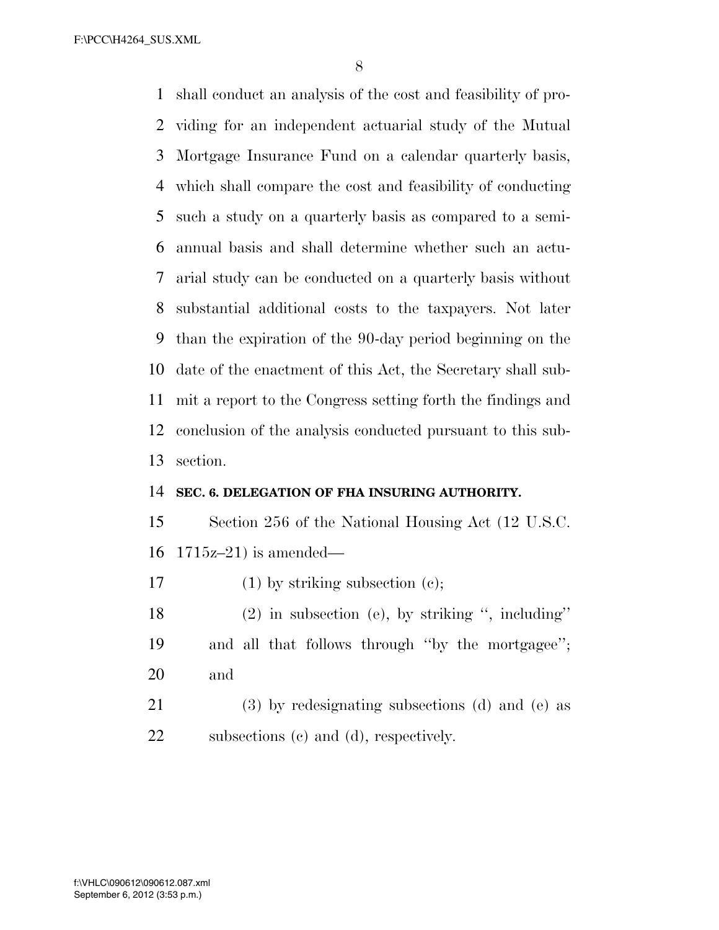shall conduct an analysis of the cost and feasibility of pro- viding for an independent actuarial study of the Mutual Mortgage Insurance Fund on a calendar quarterly basis, which shall compare the cost and feasibility of conducting such a study on a quarterly basis as compared to a semi- annual basis and shall determine whether such an actu- arial study can be conducted on a quarterly basis without substantial additional costs to the taxpayers. Not later than the expiration of the 90-day period beginning on the date of the enactment of this Act, the Secretary shall sub- mit a report to the Congress setting forth the findings and conclusion of the analysis conducted pursuant to this sub-section.

#### **SEC. 6. DELEGATION OF FHA INSURING AUTHORITY.**

 Section 256 of the National Housing Act (12 U.S.C. 1715z–21) is amended—

17 (1) by striking subsection (c);

 (2) in subsection (e), by striking '', including'' and all that follows through ''by the mortgagee''; and

 (3) by redesignating subsections (d) and (e) as subsections (c) and (d), respectively.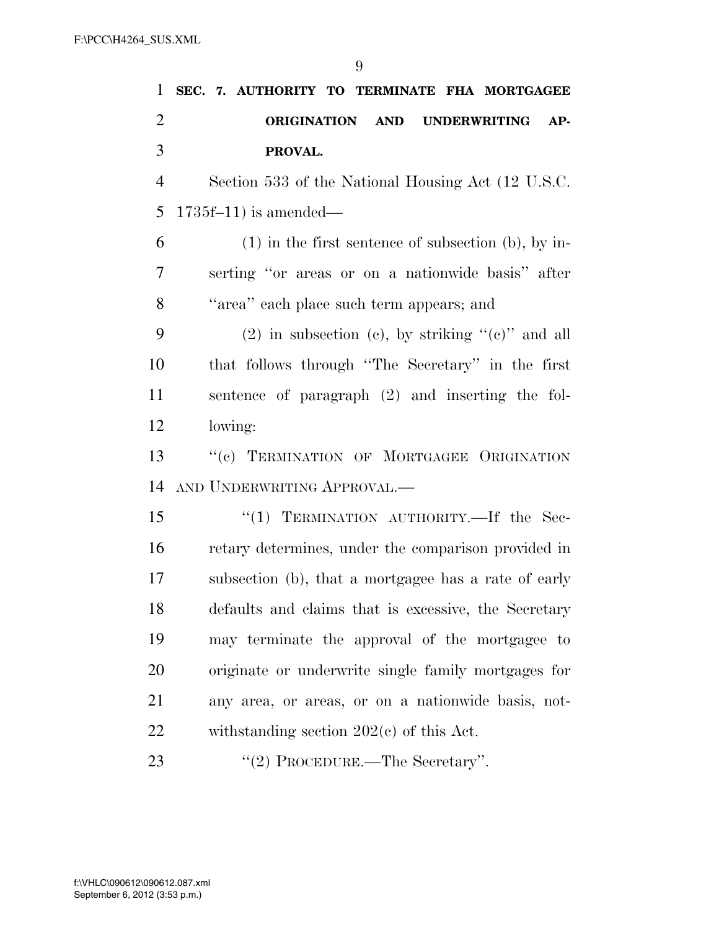| 1              | SEC. 7. AUTHORITY TO TERMINATE FHA MORTGAGEE          |
|----------------|-------------------------------------------------------|
| $\overline{2}$ | ORIGINATION AND<br><b>UNDERWRITING</b><br>$AP-$       |
| 3              | PROVAL.                                               |
| $\overline{4}$ | Section 533 of the National Housing Act (12 U.S.C.)   |
| 5              | $1735f-11$ ) is amended—                              |
| 6              | $(1)$ in the first sentence of subsection (b), by in- |
| 7              | serting "or areas or on a nationwide basis" after     |
| 8              | "area" each place such term appears; and              |
| 9              | (2) in subsection (c), by striking " $(e)$ " and all  |
| 10             | that follows through "The Secretary" in the first     |
| 11             | sentence of paragraph (2) and inserting the fol-      |
| 12             | lowing:                                               |
| 13             | "(c) TERMINATION OF MORTGAGEE ORIGINATION             |
| 14             | AND UNDERWRITING APPROVAL.-                           |
| 15             | "(1) TERMINATION AUTHORITY.—If the Sec-               |
| 16             | retary determines, under the comparison provided in   |
| 17             | subsection (b), that a mortgagee has a rate of early  |
| 18             | defaults and claims that is excessive, the Secretary  |
| 19             | may terminate the approval of the mortgagee to        |
| 20             | originate or underwrite single family mortgages for   |
| 21             | any area, or areas, or on a nationwide basis, not-    |
| 22             | withstanding section $202(e)$ of this Act.            |
| 23             | "(2) PROCEDURE.—The Secretary".                       |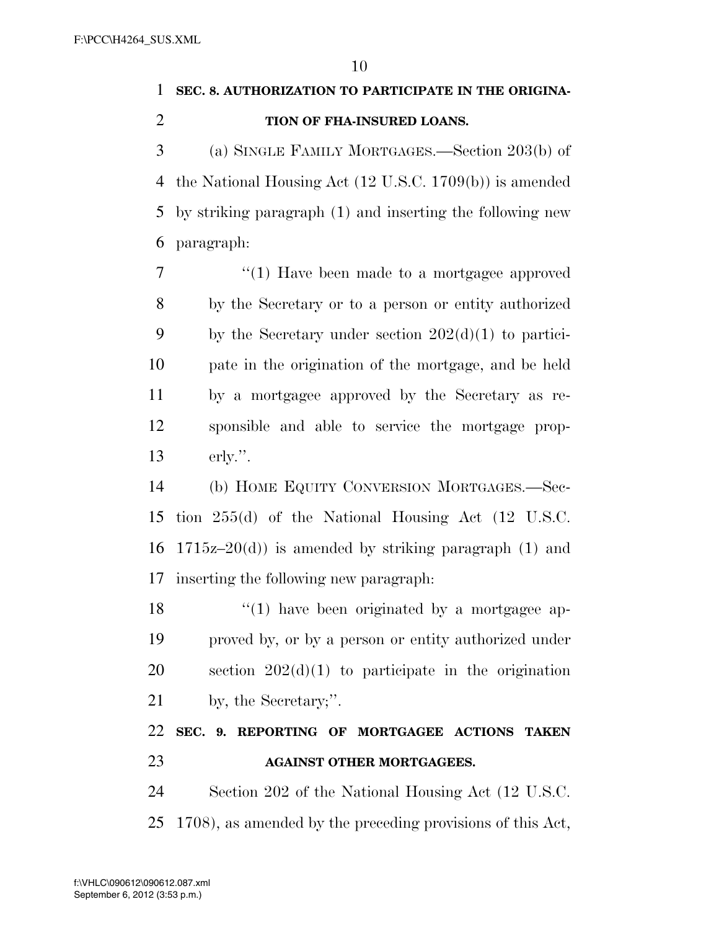### **SEC. 8. AUTHORIZATION TO PARTICIPATE IN THE ORIGINA-TION OF FHA-INSURED LOANS.**

 (a) SINGLE FAMILY MORTGAGES.—Section 203(b) of the National Housing Act (12 U.S.C. 1709(b)) is amended by striking paragraph (1) and inserting the following new paragraph:

7 "(1) Have been made to a mortgagee approved by the Secretary or to a person or entity authorized 9 by the Secretary under section  $202(d)(1)$  to partici- pate in the origination of the mortgage, and be held by a mortgagee approved by the Secretary as re- sponsible and able to service the mortgage prop-erly.''.

 (b) HOME EQUITY CONVERSION MORTGAGES.—Sec- tion 255(d) of the National Housing Act (12 U.S.C. 16 1715 $z$ –20(d)) is amended by striking paragraph (1) and inserting the following new paragraph:

 $\frac{18}{2}$  ''(1) have been originated by a mortgagee ap- proved by, or by a person or entity authorized under section 202(d)(1) to participate in the origination by, the Secretary;''.

### **SEC. 9. REPORTING OF MORTGAGEE ACTIONS TAKEN AGAINST OTHER MORTGAGEES.**

 Section 202 of the National Housing Act (12 U.S.C. 1708), as amended by the preceding provisions of this Act,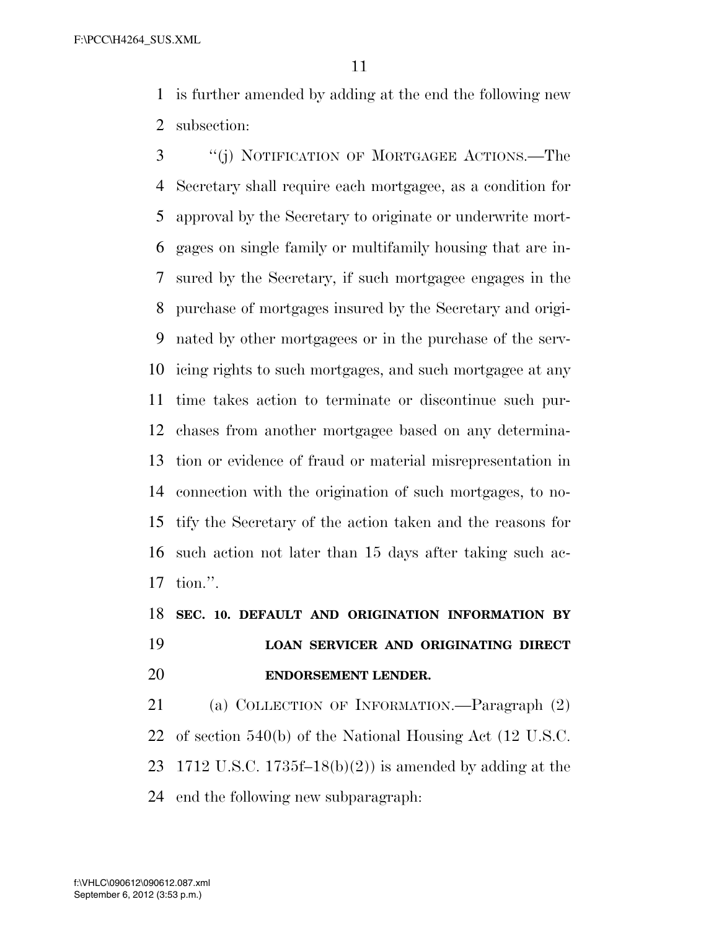is further amended by adding at the end the following new subsection:

 ''(j) NOTIFICATION OF MORTGAGEE ACTIONS.—The Secretary shall require each mortgagee, as a condition for approval by the Secretary to originate or underwrite mort- gages on single family or multifamily housing that are in- sured by the Secretary, if such mortgagee engages in the purchase of mortgages insured by the Secretary and origi- nated by other mortgagees or in the purchase of the serv- icing rights to such mortgages, and such mortgagee at any time takes action to terminate or discontinue such pur- chases from another mortgagee based on any determina- tion or evidence of fraud or material misrepresentation in connection with the origination of such mortgages, to no- tify the Secretary of the action taken and the reasons for such action not later than 15 days after taking such ac-tion.''.

## **SEC. 10. DEFAULT AND ORIGINATION INFORMATION BY LOAN SERVICER AND ORIGINATING DIRECT ENDORSEMENT LENDER.**

 (a) COLLECTION OF INFORMATION.—Paragraph (2) of section 540(b) of the National Housing Act (12 U.S.C. 1712 U.S.C. 1735f–18(b)(2)) is amended by adding at the end the following new subparagraph: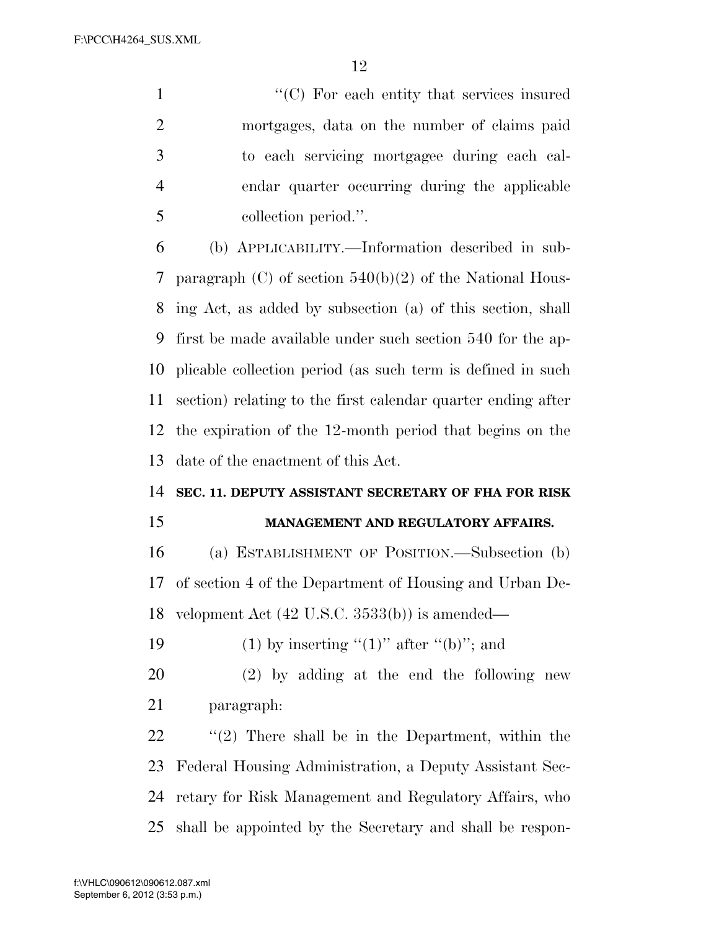$\cdot$  (C) For each entity that services insured mortgages, data on the number of claims paid to each servicing mortgagee during each cal- endar quarter occurring during the applicable collection period.''.

 (b) APPLICABILITY.—Information described in sub- paragraph (C) of section 540(b)(2) of the National Hous- ing Act, as added by subsection (a) of this section, shall first be made available under such section 540 for the ap- plicable collection period (as such term is defined in such section) relating to the first calendar quarter ending after the expiration of the 12-month period that begins on the date of the enactment of this Act.

#### **SEC. 11. DEPUTY ASSISTANT SECRETARY OF FHA FOR RISK**

#### **MANAGEMENT AND REGULATORY AFFAIRS.**

 (a) ESTABLISHMENT OF POSITION.—Subsection (b) of section 4 of the Department of Housing and Urban De-velopment Act (42 U.S.C. 3533(b)) is amended—

19 (1) by inserting " $(1)$ " after " $(b)$ "; and

 (2) by adding at the end the following new paragraph:

 ''(2) There shall be in the Department, within the Federal Housing Administration, a Deputy Assistant Sec- retary for Risk Management and Regulatory Affairs, who shall be appointed by the Secretary and shall be respon-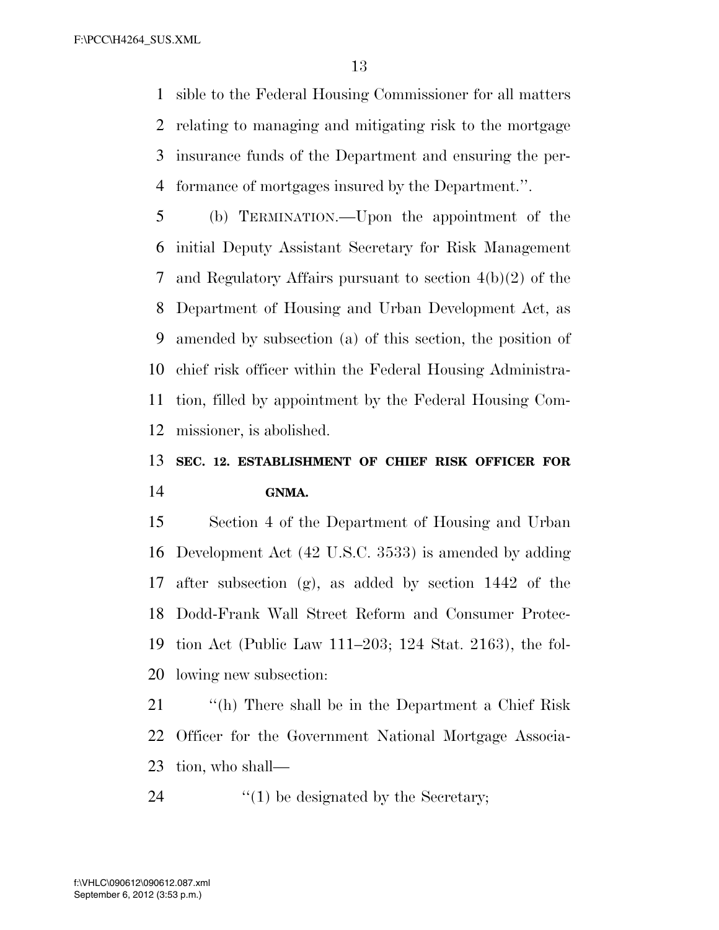sible to the Federal Housing Commissioner for all matters relating to managing and mitigating risk to the mortgage insurance funds of the Department and ensuring the per-formance of mortgages insured by the Department.''.

 (b) TERMINATION.—Upon the appointment of the initial Deputy Assistant Secretary for Risk Management and Regulatory Affairs pursuant to section 4(b)(2) of the Department of Housing and Urban Development Act, as amended by subsection (a) of this section, the position of chief risk officer within the Federal Housing Administra- tion, filled by appointment by the Federal Housing Com-missioner, is abolished.

### **SEC. 12. ESTABLISHMENT OF CHIEF RISK OFFICER FOR GNMA.**

 Section 4 of the Department of Housing and Urban Development Act (42 U.S.C. 3533) is amended by adding after subsection (g), as added by section 1442 of the Dodd-Frank Wall Street Reform and Consumer Protec- tion Act (Public Law 111–203; 124 Stat. 2163), the fol-lowing new subsection:

 ''(h) There shall be in the Department a Chief Risk Officer for the Government National Mortgage Associa-tion, who shall—

24  $\qquad$  (1) be designated by the Secretary;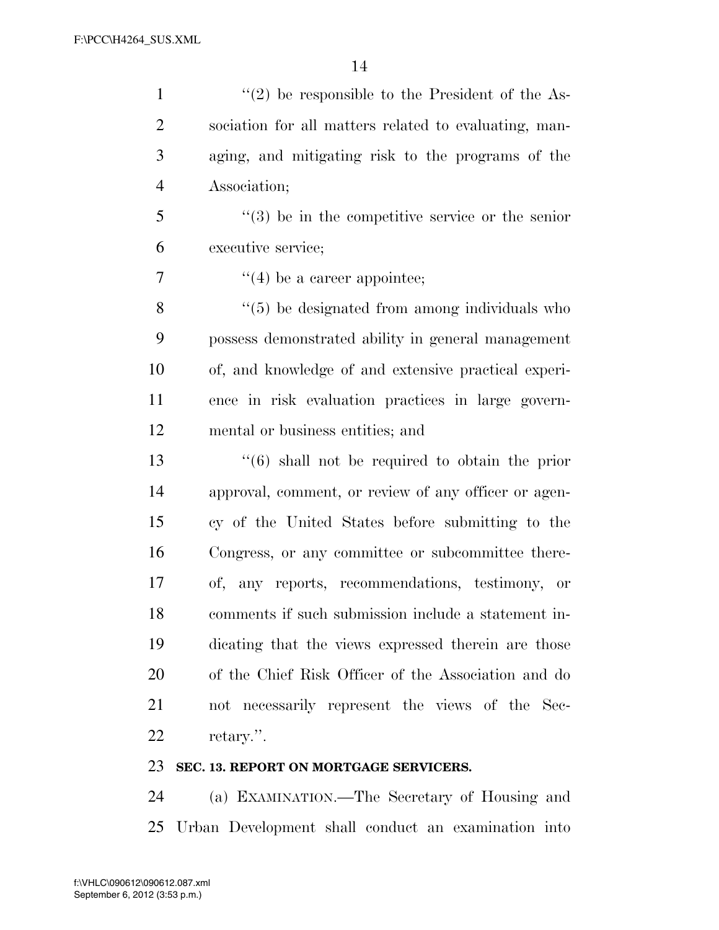| $\mathbf{1}$   | $\lq(2)$ be responsible to the President of the As-            |
|----------------|----------------------------------------------------------------|
| $\overline{2}$ | sociation for all matters related to evaluating, man-          |
| 3              | aging, and mitigating risk to the programs of the              |
| $\overline{4}$ | Association;                                                   |
| 5              | $(3)$ be in the competitive service or the senior              |
| 6              | executive service;                                             |
| 7              | $f'(4)$ be a career appointee;                                 |
| 8              | $\lq(5)$ be designated from among individuals who              |
| 9              | possess demonstrated ability in general management             |
| 10             | of, and knowledge of and extensive practical experi-           |
| 11             | ence in risk evaluation practices in large govern-             |
| 12             | mental or business entities; and                               |
| 13             | $\cdot\cdot\cdot(6)$ shall not be required to obtain the prior |
| 14             | approval, comment, or review of any officer or agen-           |
| 15             | cy of the United States before submitting to the               |
| 16             | Congress, or any committee or subcommittee there-              |
| 17             | of, any reports, recommendations, testimony, or                |
| 18             | comments if such submission include a statement in-            |
| 19             | dicating that the views expressed therein are those            |
| 20             | of the Chief Risk Officer of the Association and do            |
| 21             | not necessarily represent the views of the Sec-                |
| 22             | retary.".                                                      |

### **SEC. 13. REPORT ON MORTGAGE SERVICERS.**

 (a) EXAMINATION.—The Secretary of Housing and Urban Development shall conduct an examination into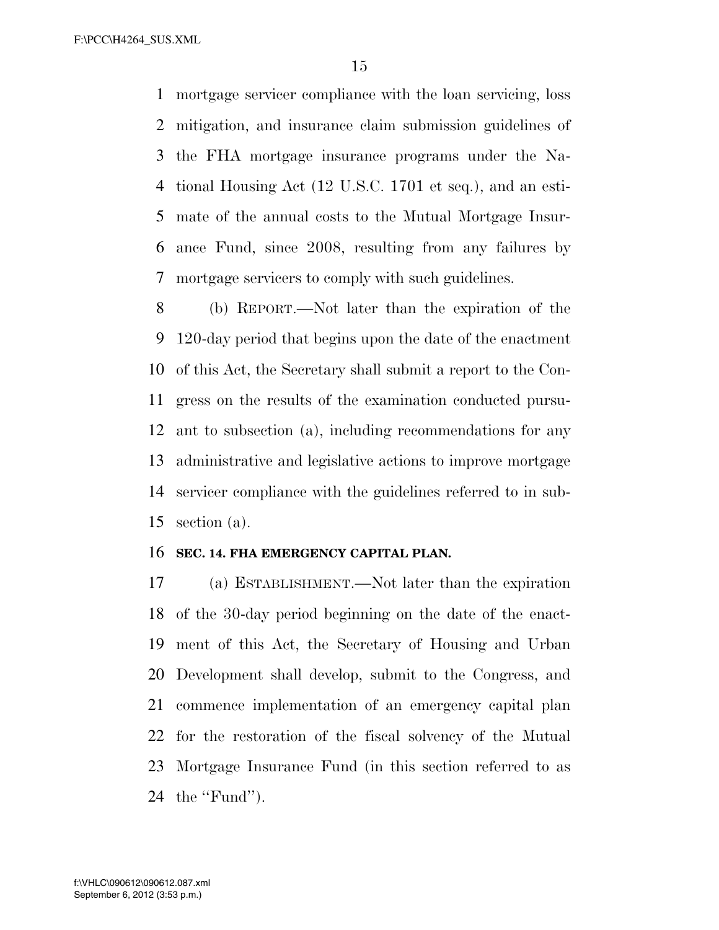mortgage servicer compliance with the loan servicing, loss mitigation, and insurance claim submission guidelines of the FHA mortgage insurance programs under the Na- tional Housing Act (12 U.S.C. 1701 et seq.), and an esti- mate of the annual costs to the Mutual Mortgage Insur- ance Fund, since 2008, resulting from any failures by mortgage servicers to comply with such guidelines.

 (b) REPORT.—Not later than the expiration of the 120-day period that begins upon the date of the enactment of this Act, the Secretary shall submit a report to the Con- gress on the results of the examination conducted pursu- ant to subsection (a), including recommendations for any administrative and legislative actions to improve mortgage servicer compliance with the guidelines referred to in sub-section (a).

#### **SEC. 14. FHA EMERGENCY CAPITAL PLAN.**

 (a) ESTABLISHMENT.—Not later than the expiration of the 30-day period beginning on the date of the enact- ment of this Act, the Secretary of Housing and Urban Development shall develop, submit to the Congress, and commence implementation of an emergency capital plan for the restoration of the fiscal solvency of the Mutual Mortgage Insurance Fund (in this section referred to as the ''Fund'').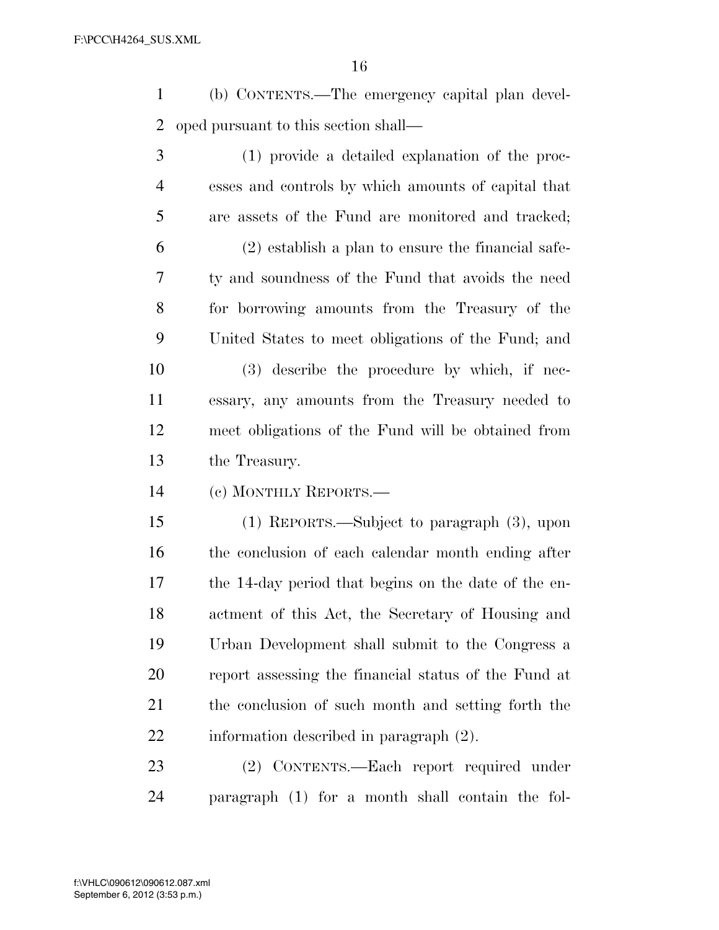(b) CONTENTS.—The emergency capital plan devel-oped pursuant to this section shall—

 (1) provide a detailed explanation of the proc- esses and controls by which amounts of capital that are assets of the Fund are monitored and tracked; (2) establish a plan to ensure the financial safe- ty and soundness of the Fund that avoids the need for borrowing amounts from the Treasury of the United States to meet obligations of the Fund; and (3) describe the procedure by which, if nec-

 essary, any amounts from the Treasury needed to meet obligations of the Fund will be obtained from the Treasury.

(c) MONTHLY REPORTS.—

 (1) REPORTS.—Subject to paragraph (3), upon the conclusion of each calendar month ending after the 14-day period that begins on the date of the en- actment of this Act, the Secretary of Housing and Urban Development shall submit to the Congress a report assessing the financial status of the Fund at the conclusion of such month and setting forth the information described in paragraph (2).

 (2) CONTENTS.—Each report required under paragraph (1) for a month shall contain the fol-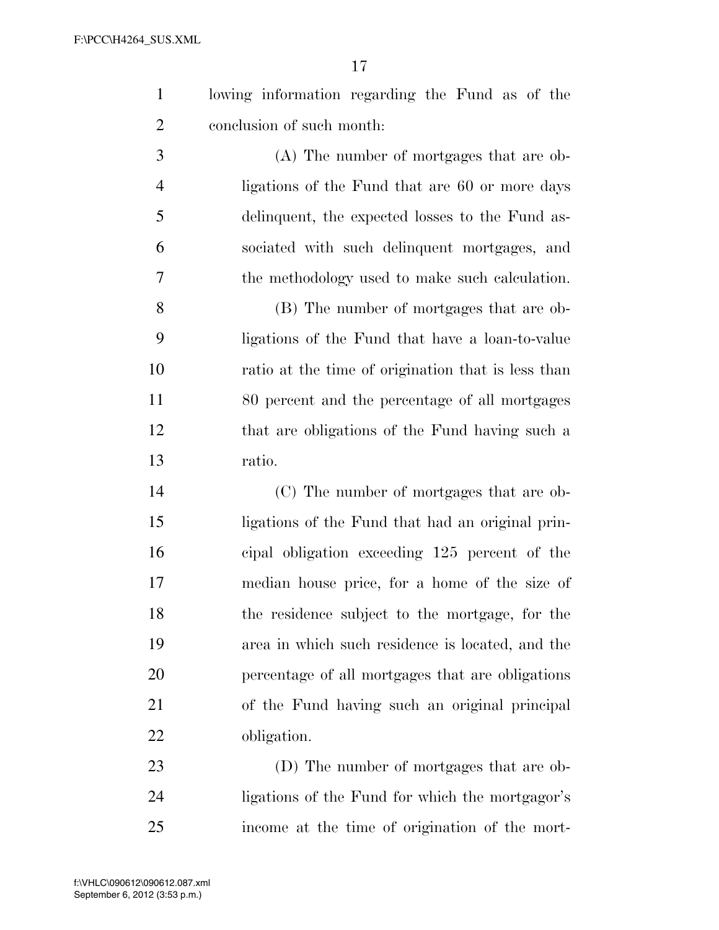|  | lowing information regarding the Fund as of the |  |  |  |
|--|-------------------------------------------------|--|--|--|
|  | conclusion of such month:                       |  |  |  |

 (A) The number of mortgages that are ob- ligations of the Fund that are 60 or more days delinquent, the expected losses to the Fund as- sociated with such delinquent mortgages, and the methodology used to make such calculation.

 (B) The number of mortgages that are ob- ligations of the Fund that have a loan-to-value ratio at the time of origination that is less than 80 percent and the percentage of all mortgages that are obligations of the Fund having such a ratio.

 (C) The number of mortgages that are ob- ligations of the Fund that had an original prin- cipal obligation exceeding 125 percent of the median house price, for a home of the size of the residence subject to the mortgage, for the area in which such residence is located, and the percentage of all mortgages that are obligations of the Fund having such an original principal obligation.

 (D) The number of mortgages that are ob- ligations of the Fund for which the mortgagor's income at the time of origination of the mort-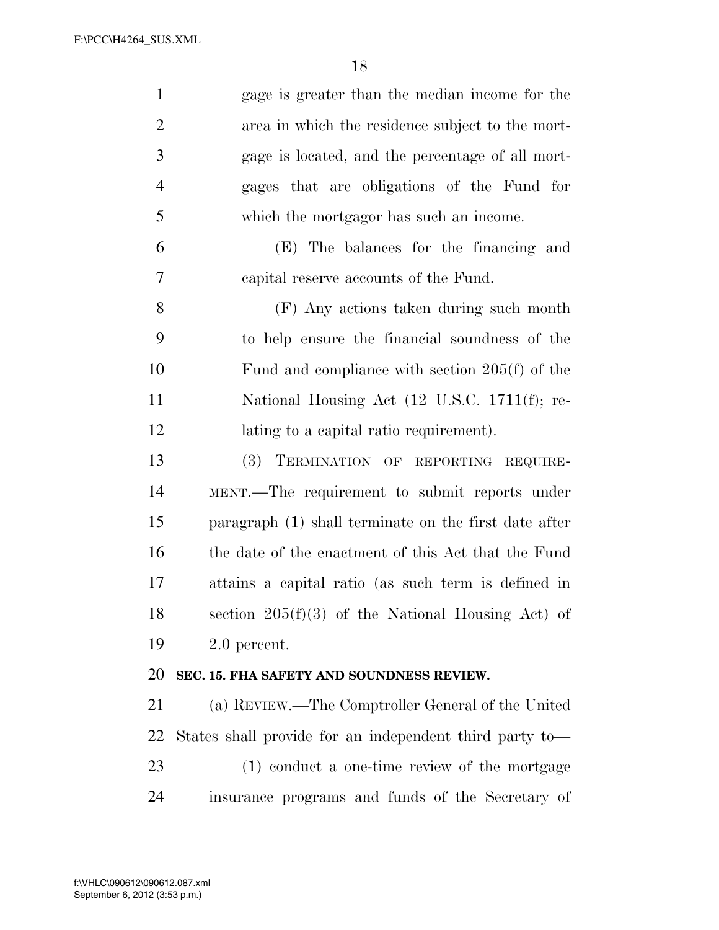| $\mathbf{1}$   | gage is greater than the median income for the          |
|----------------|---------------------------------------------------------|
| $\overline{2}$ | area in which the residence subject to the mort-        |
| 3              | gage is located, and the percentage of all mort-        |
| $\overline{4}$ | gages that are obligations of the Fund for              |
| 5              | which the mortgagor has such an income.                 |
| 6              | (E) The balances for the financing and                  |
| 7              | capital reserve accounts of the Fund.                   |
| 8              | (F) Any actions taken during such month                 |
| 9              | to help ensure the financial soundness of the           |
| 10             | Fund and compliance with section $205(f)$ of the        |
| 11             | National Housing Act (12 U.S.C. 1711(f); re-            |
| 12             | lating to a capital ratio requirement).                 |
| 13             | (3)<br>TERMINATION OF REPORTING REQUIRE-                |
| 14             | MENT.—The requirement to submit reports under           |
| 15             | paragraph (1) shall terminate on the first date after   |
| 16             | the date of the enactment of this Act that the Fund     |
| 17             | attains a capital ratio (as such term is defined in     |
| 18             | section $205(f)(3)$ of the National Housing Act) of     |
| 19             | $2.0$ percent.                                          |
| 20             | SEC. 15. FHA SAFETY AND SOUNDNESS REVIEW.               |
| 21             | (a) REVIEW.—The Comptroller General of the United       |
| 22             | States shall provide for an independent third party to- |
| 23             | (1) conduct a one-time review of the mortgage           |
| 24             | insurance programs and funds of the Secretary of        |
|                |                                                         |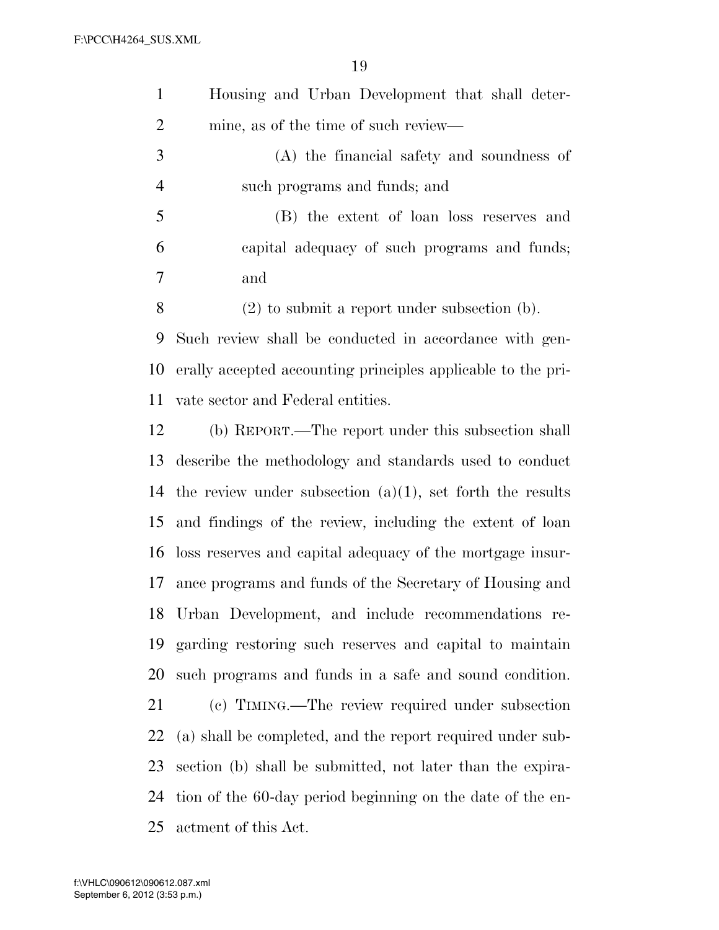| $\mathbf{1}$   | Housing and Urban Development that shall deter-              |
|----------------|--------------------------------------------------------------|
| $\overline{c}$ | mine, as of the time of such review—                         |
| 3              | (A) the financial safety and soundness of                    |
| $\overline{4}$ | such programs and funds; and                                 |
| 5              | (B) the extent of loan loss reserves and                     |
| 6              | capital adequacy of such programs and funds;                 |
| 7              | and                                                          |
| 8              | $(2)$ to submit a report under subsection $(b)$ .            |
| 9              | Such review shall be conducted in accordance with gen-       |
| 10             | erally accepted accounting principles applicable to the pri- |
| 11             | vate sector and Federal entities.                            |
| 12             | (b) REPORT.—The report under this subsection shall           |
| 13             | describe the methodology and standards used to conduct       |
| 14             | the review under subsection $(a)(1)$ , set forth the results |
| 15             | and findings of the review, including the extent of loan     |
| 16             | loss reserves and capital adequacy of the mortgage insur-    |
| 17             | ance programs and funds of the Secretary of Housing and      |
| 18             | Urban Development, and include recommendations re-           |
| 19             | garding restoring such reserves and capital to maintain      |
| 20             | such programs and funds in a safe and sound condition.       |
| 21             | (c) TIMING.—The review required under subsection             |
| 22             | (a) shall be completed, and the report required under sub-   |
| 23             | section (b) shall be submitted, not later than the expira-   |
| 24             | tion of the 60-day period beginning on the date of the en-   |
| 25             | actment of this Act.                                         |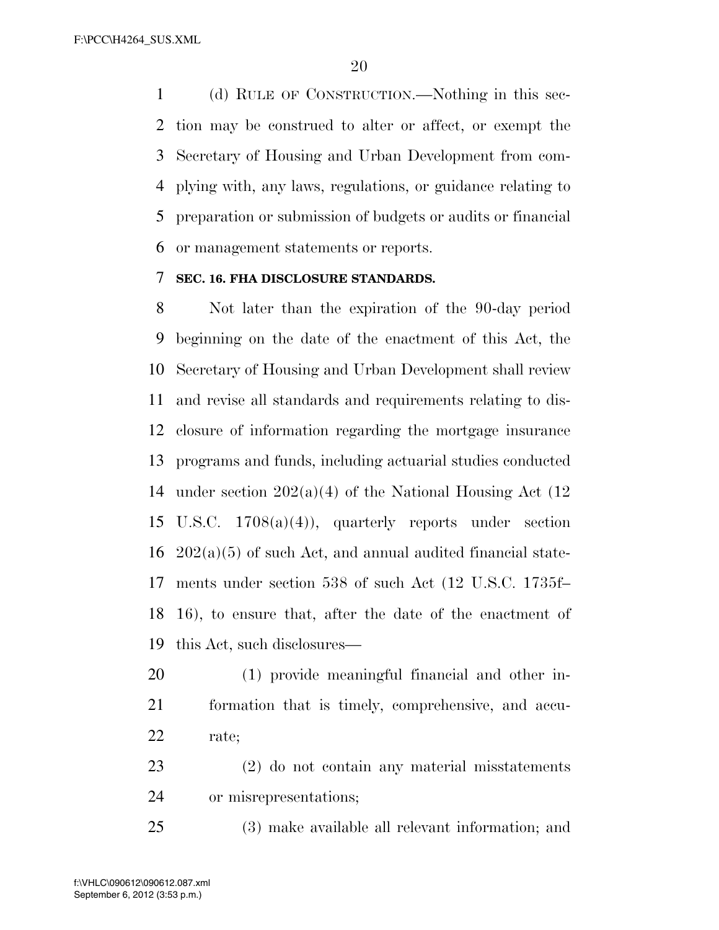(d) RULE OF CONSTRUCTION.—Nothing in this sec- tion may be construed to alter or affect, or exempt the Secretary of Housing and Urban Development from com- plying with, any laws, regulations, or guidance relating to preparation or submission of budgets or audits or financial or management statements or reports.

#### **SEC. 16. FHA DISCLOSURE STANDARDS.**

 Not later than the expiration of the 90-day period beginning on the date of the enactment of this Act, the Secretary of Housing and Urban Development shall review and revise all standards and requirements relating to dis- closure of information regarding the mortgage insurance programs and funds, including actuarial studies conducted 14 under section  $202(a)(4)$  of the National Housing Act (12) U.S.C. 1708(a)(4)), quarterly reports under section  $16\quad 202(a)(5)$  of such Act, and annual audited financial state- ments under section 538 of such Act (12 U.S.C. 1735f– 16), to ensure that, after the date of the enactment of this Act, such disclosures—

- (1) provide meaningful financial and other in- formation that is timely, comprehensive, and accu-rate;
- (2) do not contain any material misstatements or misrepresentations;

(3) make available all relevant information; and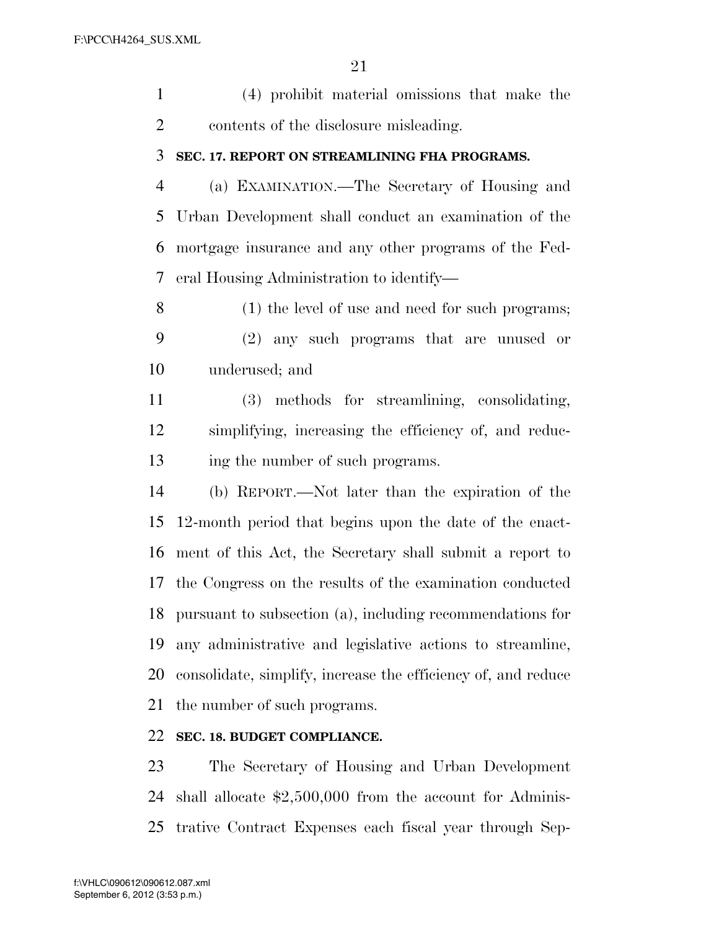(4) prohibit material omissions that make the contents of the disclosure misleading.

#### **SEC. 17. REPORT ON STREAMLINING FHA PROGRAMS.**

 (a) EXAMINATION.—The Secretary of Housing and Urban Development shall conduct an examination of the mortgage insurance and any other programs of the Fed-eral Housing Administration to identify—

 (1) the level of use and need for such programs; (2) any such programs that are unused or underused; and

 (3) methods for streamlining, consolidating, simplifying, increasing the efficiency of, and reduc-13 ing the number of such programs.

 (b) REPORT.—Not later than the expiration of the 12-month period that begins upon the date of the enact- ment of this Act, the Secretary shall submit a report to the Congress on the results of the examination conducted pursuant to subsection (a), including recommendations for any administrative and legislative actions to streamline, consolidate, simplify, increase the efficiency of, and reduce the number of such programs.

#### **SEC. 18. BUDGET COMPLIANCE.**

 The Secretary of Housing and Urban Development shall allocate \$2,500,000 from the account for Adminis-trative Contract Expenses each fiscal year through Sep